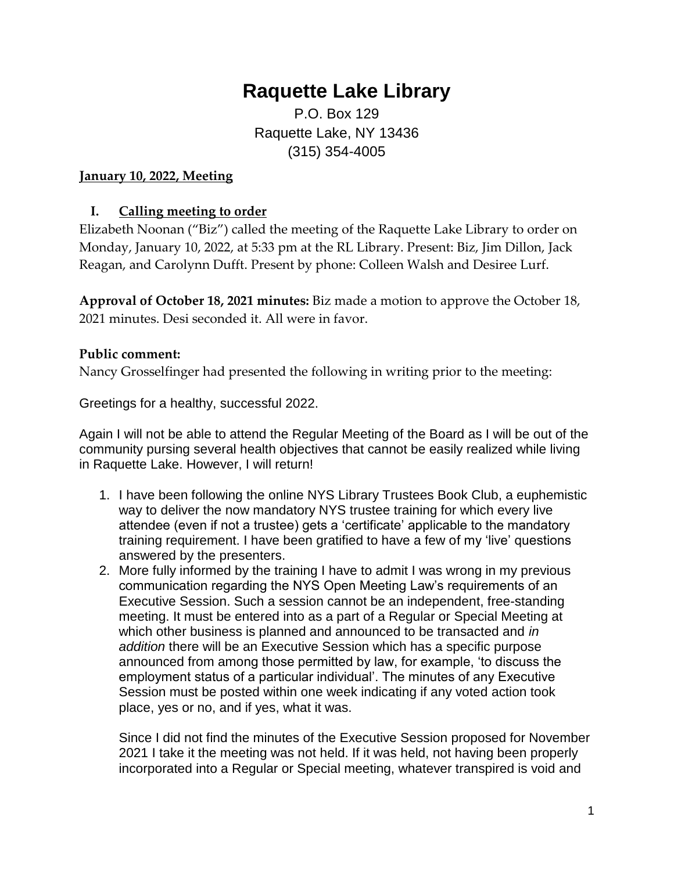# **Raquette Lake Library**

P.O. Box 129 Raquette Lake, NY 13436 (315) 354-4005

#### **January 10, 2022, Meeting**

## **I. Calling meeting to order**

Elizabeth Noonan ("Biz") called the meeting of the Raquette Lake Library to order on Monday, January 10, 2022, at 5:33 pm at the RL Library. Present: Biz, Jim Dillon, Jack Reagan, and Carolynn Dufft. Present by phone: Colleen Walsh and Desiree Lurf.

**Approval of October 18, 2021 minutes:** Biz made a motion to approve the October 18, 2021 minutes. Desi seconded it. All were in favor.

## **Public comment:**

Nancy Grosselfinger had presented the following in writing prior to the meeting:

Greetings for a healthy, successful 2022.

Again I will not be able to attend the Regular Meeting of the Board as I will be out of the community pursing several health objectives that cannot be easily realized while living in Raquette Lake. However, I will return!

- 1. I have been following the online NYS Library Trustees Book Club, a euphemistic way to deliver the now mandatory NYS trustee training for which every live attendee (even if not a trustee) gets a 'certificate' applicable to the mandatory training requirement. I have been gratified to have a few of my 'live' questions answered by the presenters.
- 2. More fully informed by the training I have to admit I was wrong in my previous communication regarding the NYS Open Meeting Law's requirements of an Executive Session. Such a session cannot be an independent, free-standing meeting. It must be entered into as a part of a Regular or Special Meeting at which other business is planned and announced to be transacted and *in addition* there will be an Executive Session which has a specific purpose announced from among those permitted by law, for example, 'to discuss the employment status of a particular individual'. The minutes of any Executive Session must be posted within one week indicating if any voted action took place, yes or no, and if yes, what it was.

Since I did not find the minutes of the Executive Session proposed for November 2021 I take it the meeting was not held. If it was held, not having been properly incorporated into a Regular or Special meeting, whatever transpired is void and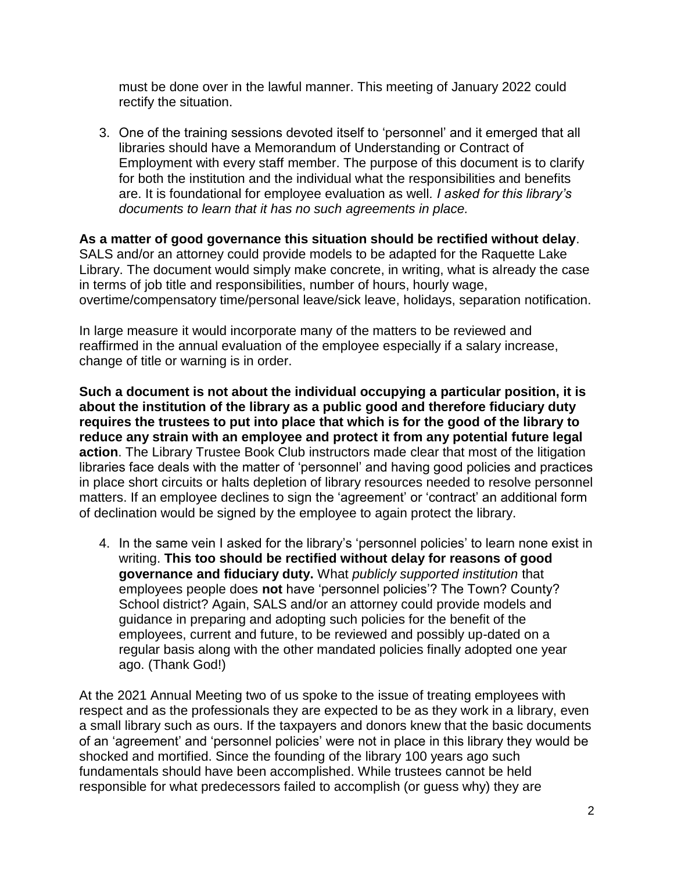must be done over in the lawful manner. This meeting of January 2022 could rectify the situation.

3. One of the training sessions devoted itself to 'personnel' and it emerged that all libraries should have a Memorandum of Understanding or Contract of Employment with every staff member. The purpose of this document is to clarify for both the institution and the individual what the responsibilities and benefits are. It is foundational for employee evaluation as well*. I asked for this library's documents to learn that it has no such agreements in place.*

**As a matter of good governance this situation should be rectified without delay**. SALS and/or an attorney could provide models to be adapted for the Raquette Lake Library. The document would simply make concrete, in writing, what is already the case in terms of job title and responsibilities, number of hours, hourly wage, overtime/compensatory time/personal leave/sick leave, holidays, separation notification.

In large measure it would incorporate many of the matters to be reviewed and reaffirmed in the annual evaluation of the employee especially if a salary increase, change of title or warning is in order.

**Such a document is not about the individual occupying a particular position, it is about the institution of the library as a public good and therefore fiduciary duty requires the trustees to put into place that which is for the good of the library to reduce any strain with an employee and protect it from any potential future legal action**. The Library Trustee Book Club instructors made clear that most of the litigation libraries face deals with the matter of 'personnel' and having good policies and practices in place short circuits or halts depletion of library resources needed to resolve personnel matters. If an employee declines to sign the 'agreement' or 'contract' an additional form of declination would be signed by the employee to again protect the library.

4. In the same vein I asked for the library's 'personnel policies' to learn none exist in writing. **This too should be rectified without delay for reasons of good governance and fiduciary duty.** What *publicly supported institution* that employees people does **not** have 'personnel policies'? The Town? County? School district? Again, SALS and/or an attorney could provide models and guidance in preparing and adopting such policies for the benefit of the employees, current and future, to be reviewed and possibly up-dated on a regular basis along with the other mandated policies finally adopted one year ago. (Thank God!)

At the 2021 Annual Meeting two of us spoke to the issue of treating employees with respect and as the professionals they are expected to be as they work in a library, even a small library such as ours. If the taxpayers and donors knew that the basic documents of an 'agreement' and 'personnel policies' were not in place in this library they would be shocked and mortified. Since the founding of the library 100 years ago such fundamentals should have been accomplished. While trustees cannot be held responsible for what predecessors failed to accomplish (or guess why) they are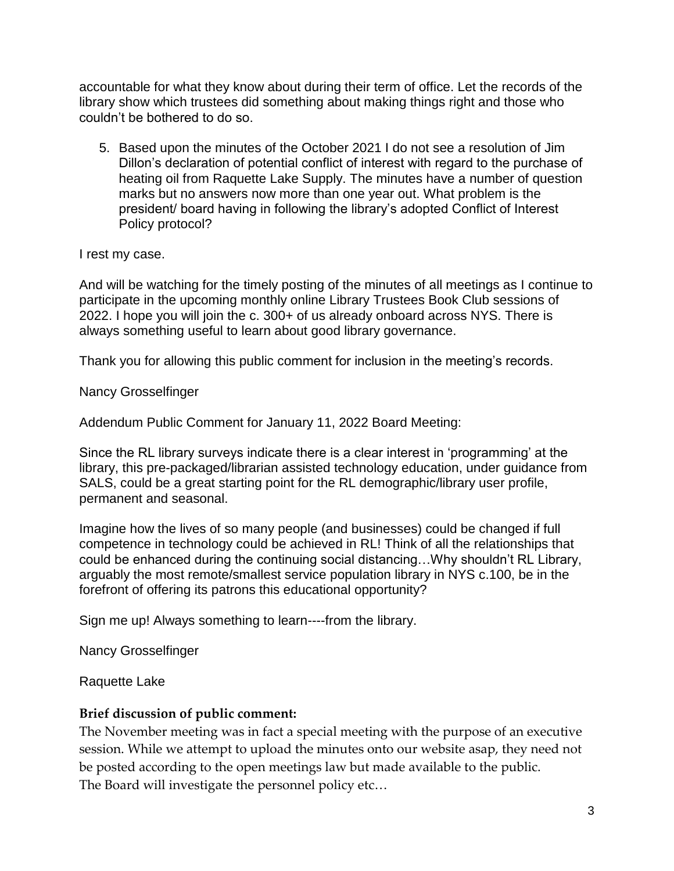accountable for what they know about during their term of office. Let the records of the library show which trustees did something about making things right and those who couldn't be bothered to do so.

5. Based upon the minutes of the October 2021 I do not see a resolution of Jim Dillon's declaration of potential conflict of interest with regard to the purchase of heating oil from Raquette Lake Supply. The minutes have a number of question marks but no answers now more than one year out. What problem is the president/ board having in following the library's adopted Conflict of Interest Policy protocol?

I rest my case.

And will be watching for the timely posting of the minutes of all meetings as I continue to participate in the upcoming monthly online Library Trustees Book Club sessions of 2022. I hope you will join the c. 300+ of us already onboard across NYS. There is always something useful to learn about good library governance.

Thank you for allowing this public comment for inclusion in the meeting's records.

Nancy Grosselfinger

Addendum Public Comment for January 11, 2022 Board Meeting:

Since the RL library surveys indicate there is a clear interest in 'programming' at the library, this pre-packaged/librarian assisted technology education, under guidance from SALS, could be a great starting point for the RL demographic/library user profile, permanent and seasonal.

Imagine how the lives of so many people (and businesses) could be changed if full competence in technology could be achieved in RL! Think of all the relationships that could be enhanced during the continuing social distancing…Why shouldn't RL Library, arguably the most remote/smallest service population library in NYS c.100, be in the forefront of offering its patrons this educational opportunity?

Sign me up! Always something to learn----from the library.

Nancy Grosselfinger

Raquette Lake

## **Brief discussion of public comment:**

The November meeting was in fact a special meeting with the purpose of an executive session. While we attempt to upload the minutes onto our website asap, they need not be posted according to the open meetings law but made available to the public. The Board will investigate the personnel policy etc…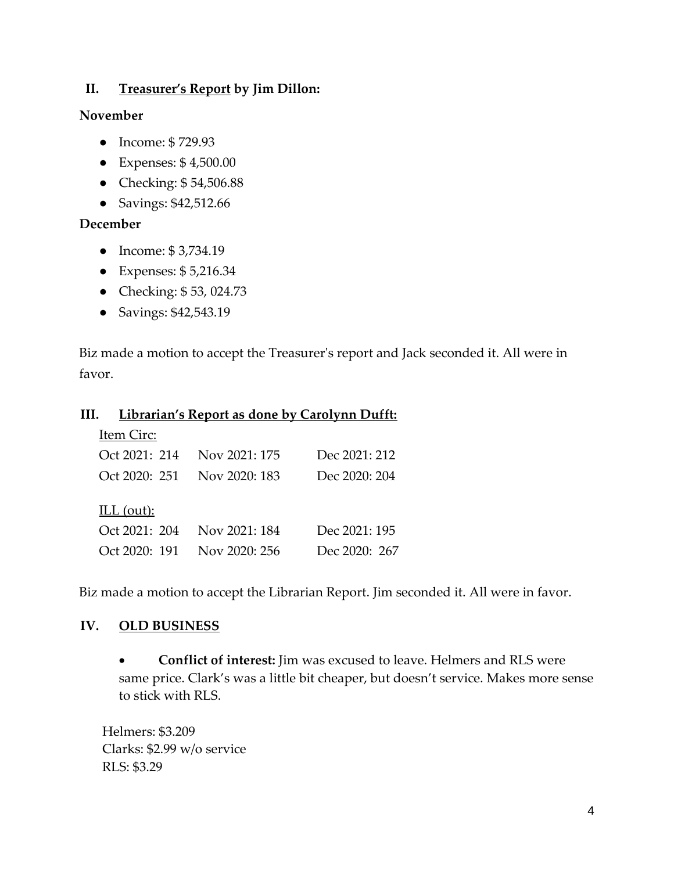## **II. Treasurer's Report by Jim Dillon:**

#### **November**

- Income: \$ 729.93
- Expenses: \$ 4,500.00
- Checking: \$54,506.88
- Savings: \$42,512.66

## **December**

- Income: \$ 3,734.19
- Expenses: \$ 5,216.34
- Checking: \$ 53, 024.73
- Savings: \$42,543.19

Biz made a motion to accept the Treasurer's report and Jack seconded it. All were in favor.

#### **III. Librarian's Report as done by Carolynn Dufft:**

| Item Circ:    |                             |               |
|---------------|-----------------------------|---------------|
|               | Oct 2021: 214 Nov 2021: 175 | Dec 2021: 212 |
|               | Oct 2020: 251 Nov 2020: 183 | Dec 2020: 204 |
| ILL $(out)$ : |                             |               |
| Oct 2021: 204 | Nov 2021: 184               | Dec 2021: 195 |
|               | Oct 2020: 191 Nov 2020: 256 | Dec 2020: 267 |

Biz made a motion to accept the Librarian Report. Jim seconded it. All were in favor.

## **IV. OLD BUSINESS**

• **Conflict of interest:** Jim was excused to leave. Helmers and RLS were same price. Clark's was a little bit cheaper, but doesn't service. Makes more sense to stick with RLS.

Helmers: \$3.209 Clarks: \$2.99 w/o service RLS: \$3.29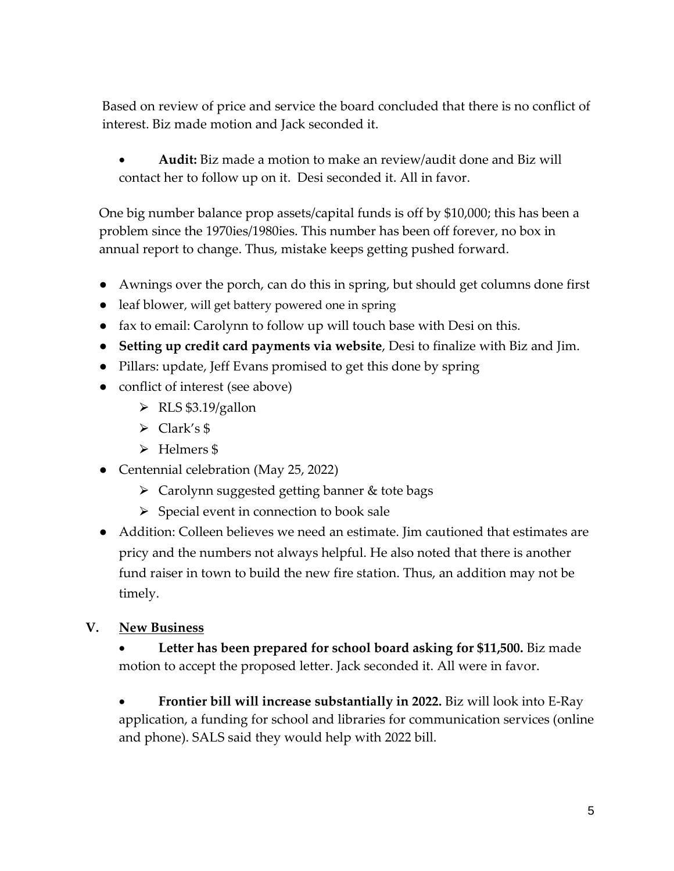Based on review of price and service the board concluded that there is no conflict of interest. Biz made motion and Jack seconded it.

• **Audit:** Biz made a motion to make an review/audit done and Biz will contact her to follow up on it. Desi seconded it. All in favor.

One big number balance prop assets/capital funds is off by \$10,000; this has been a problem since the 1970ies/1980ies. This number has been off forever, no box in annual report to change. Thus, mistake keeps getting pushed forward.

- Awnings over the porch, can do this in spring, but should get columns done first
- leaf blower, will get battery powered one in spring
- fax to email: Carolynn to follow up will touch base with Desi on this.
- **Setting up credit card payments via website**, Desi to finalize with Biz and Jim.
- Pillars: update, Jeff Evans promised to get this done by spring
- conflict of interest (see above)
	- $\triangleright$  RLS \$3.19/gallon
	- $\triangleright$  Clark's \$
	- > Helmers \$
- Centennial celebration (May 25, 2022)
	- $\triangleright$  Carolynn suggested getting banner & tote bags
	- $\triangleright$  Special event in connection to book sale
- Addition: Colleen believes we need an estimate. Jim cautioned that estimates are pricy and the numbers not always helpful. He also noted that there is another fund raiser in town to build the new fire station. Thus, an addition may not be timely.

# **V. New Business**

• **Letter has been prepared for school board asking for \$11,500.** Biz made motion to accept the proposed letter. Jack seconded it. All were in favor.

• **Frontier bill will increase substantially in 2022.** Biz will look into E-Ray application, a funding for school and libraries for communication services (online and phone). SALS said they would help with 2022 bill.